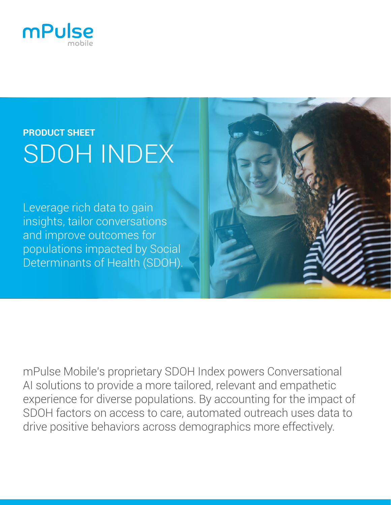

# **PRODUCT SHEET** SDOH INDEX

Leverage rich data to gain insights, tailor conversations and improve outcomes for populations impacted by Social Determinants of Health (SDOH).

mPulse Mobile's proprietary SDOH Index powers Conversational AI solutions to provide a more tailored, relevant and empathetic experience for diverse populations. By accounting for the impact of SDOH factors on access to care, automated outreach uses data to drive positive behaviors across demographics more effectively.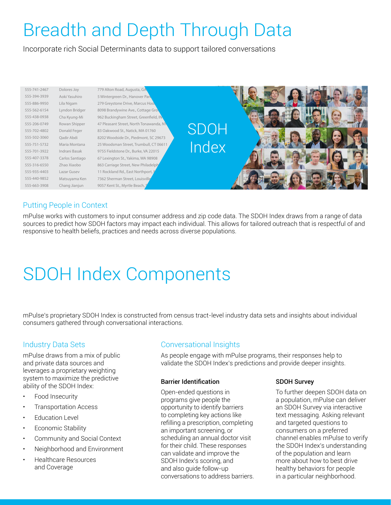# Breadth and Depth Through Data

Incorporate rich Social Determinants data to support tailored conversations



## Putting People in Context

mPulse works with customers to input consumer address and zip code data. The SDOH Index draws from a range of data sources to predict how SDOH factors may impact each individual. This allows for tailored outreach that is respectful of and responsive to health beliefs, practices and needs across diverse populations.

# SDOH Index Components

mPulse's proprietary SDOH Index is constructed from census tract-level industry data sets and insights about individual consumers gathered through conversational interactions.

### Industry Data Sets

mPulse draws from a mix of public and private data sources and leverages a proprietary weighting system to maximize the predictive ability of the SDOH Index:

- Food Insecurity
- Transportation Access
- **Education Level**
- Economic Stability
- Community and Social Context
- Neighborhood and Environment
- Healthcare Resources and Coverage

### Conversational Insights

As people engage with mPulse programs, their responses help to validate the SDOH Index's predictions and provide deeper insights.

#### Barrier Identification

Open-ended questions in programs give people the opportunity to identify barriers to completing key actions like refilling a prescription, completing an important screening, or scheduling an annual doctor visit for their child. These responses can validate and improve the SDOH Index's scoring, and and also guide follow-up conversations to address barriers.

#### SDOH Survey

To further deepen SDOH data on a population, mPulse can deliver an SDOH Survey via interactive text messaging. Asking relevant and targeted questions to consumers on a preferred channel enables mPulse to verify the SDOH Index's understanding of the population and learn more about how to best drive healthy behaviors for people in a particular neighborhood.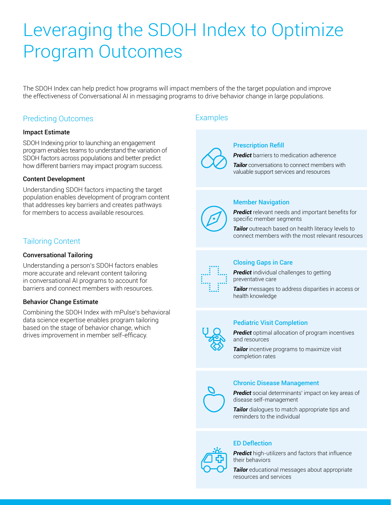# Leveraging the SDOH Index to Optimize Program Outcomes

The SDOH Index can help predict how programs will impact members of the the target population and improve the effectiveness of Conversational AI in messaging programs to drive behavior change in large populations.

### Predicting Outcomes **Examples**

#### Impact Estimate

SDOH Indexing prior to launching an engagement program enables teams to understand the variation of SDOH factors across populations and better predict how different barriers may impact program success.

#### Content Development

Understanding SDOH factors impacting the target population enables development of program content that addresses key barriers and creates pathways for members to access available resources.

### Tailoring Content

#### Conversational Tailoring

Understanding a person's SDOH factors enables more accurate and relevant content tailoring in conversational AI programs to account for barriers and connect members with resources.

#### Behavior Change Estimate

Combining the SDOH Index with mPulse's behavioral data science expertise enables program tailoring based on the stage of behavior change, which drives improvement in member self-efficacy.



#### Prescription Refill

*Predict* barriers to medication adherence

**Tailor** conversations to connect members with valuable support services and resources

#### Member Navigation

*Predict* relevant needs and important benefits for specific member segments

**Tailor** outreach based on health literacy levels to connect members with the most relevant resources



#### Closing Gaps in Care

**Predict** individual challenges to getting preventative care

*Tailor* messages to address disparities in access or health knowledge

#### Pediatric Visit Completion



*Predict* optimal allocation of program incentives and resources

*Tailor* incentive programs to maximize visit completion rates

#### Chronic Disease Management



*Predict* social determinants' impact on key areas of disease self-management

**Tailor** dialogues to match appropriate tips and reminders to the individual

### ED Deflection

**Predict** high-utilizers and factors that influence their behaviors

*Tailor* educational messages about appropriate resources and services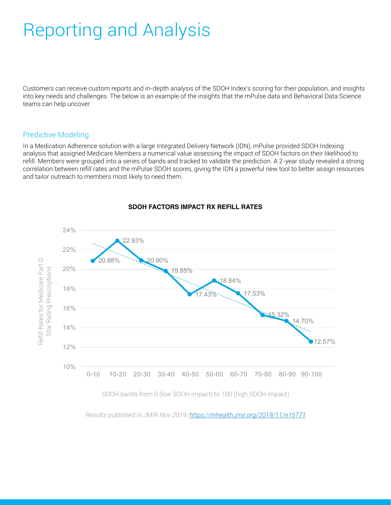# Reporting and Analysis

Customers can receive custom reports and in-depth analysis of the SDOH Index's scoring for their population, and insights into key needs and challenges. The below is an example of the insights that the mPulse data and Behavioral Data Science teams can help uncover.

### Predictive Modeling

In a Medication Adherence solution with a large Integrated Delivery Network (IDN), mPulse provided SDOH Indexing analysis that assigned Medicare Members a numerical value assessing the impact of SDOH factors on their likelihood to refill. Members were grouped into a series of bands and tracked to validate the prediction. A 2-year study revealed a strong correlation between refill rates and the mPulse SDOH scores, giving the IDN a powerful new tool to better assign resources and tailor outreach to members most likely to need them.



#### **SDOH FACTORS IMPACT RX REFILL RATES**

*Results published in JMIR Nov 2019: <https://mhealth.jmir.org/2019/11/e15771>*